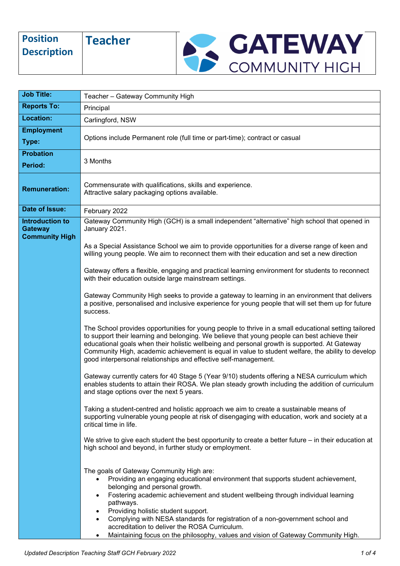| <b>Position</b><br><b>Description</b> | <b>Feacher</b> | <b>GATEWAY</b> |
|---------------------------------------|----------------|----------------|
|                                       |                | COMMUNITY      |

| <b>Job Title:</b>                                                 |                                                                                                                                                                                                                                                                                                                                                                                                                                                                                                                                                         |  |  |
|-------------------------------------------------------------------|---------------------------------------------------------------------------------------------------------------------------------------------------------------------------------------------------------------------------------------------------------------------------------------------------------------------------------------------------------------------------------------------------------------------------------------------------------------------------------------------------------------------------------------------------------|--|--|
| <b>Reports To:</b>                                                | Teacher - Gateway Community High                                                                                                                                                                                                                                                                                                                                                                                                                                                                                                                        |  |  |
| Location:                                                         | Principal                                                                                                                                                                                                                                                                                                                                                                                                                                                                                                                                               |  |  |
| <b>Employment</b>                                                 | Carlingford, NSW                                                                                                                                                                                                                                                                                                                                                                                                                                                                                                                                        |  |  |
| Type:                                                             | Options include Permanent role (full time or part-time); contract or casual                                                                                                                                                                                                                                                                                                                                                                                                                                                                             |  |  |
| <b>Probation</b>                                                  |                                                                                                                                                                                                                                                                                                                                                                                                                                                                                                                                                         |  |  |
| Period:                                                           | 3 Months                                                                                                                                                                                                                                                                                                                                                                                                                                                                                                                                                |  |  |
| <b>Remuneration:</b>                                              | Commensurate with qualifications, skills and experience.<br>Attractive salary packaging options available.                                                                                                                                                                                                                                                                                                                                                                                                                                              |  |  |
| Date of Issue:                                                    | February 2022                                                                                                                                                                                                                                                                                                                                                                                                                                                                                                                                           |  |  |
| <b>Introduction to</b><br><b>Gateway</b><br><b>Community High</b> | Gateway Community High (GCH) is a small independent "alternative" high school that opened in<br>January 2021.                                                                                                                                                                                                                                                                                                                                                                                                                                           |  |  |
|                                                                   | As a Special Assistance School we aim to provide opportunities for a diverse range of keen and<br>willing young people. We aim to reconnect them with their education and set a new direction                                                                                                                                                                                                                                                                                                                                                           |  |  |
|                                                                   | Gateway offers a flexible, engaging and practical learning environment for students to reconnect<br>with their education outside large mainstream settings.                                                                                                                                                                                                                                                                                                                                                                                             |  |  |
|                                                                   | Gateway Community High seeks to provide a gateway to learning in an environment that delivers<br>a positive, personalised and inclusive experience for young people that will set them up for future<br>success.                                                                                                                                                                                                                                                                                                                                        |  |  |
|                                                                   | The School provides opportunities for young people to thrive in a small educational setting tailored<br>to support their learning and belonging. We believe that young people can best achieve their<br>educational goals when their holistic wellbeing and personal growth is supported. At Gateway<br>Community High, academic achievement is equal in value to student welfare, the ability to develop<br>good interpersonal relationships and effective self-management.                                                                            |  |  |
|                                                                   | Gateway currently caters for 40 Stage 5 (Year 9/10) students offering a NESA curriculum which<br>enables students to attain their ROSA. We plan steady growth including the addition of curriculum<br>and stage options over the next 5 years.                                                                                                                                                                                                                                                                                                          |  |  |
|                                                                   | Taking a student-centred and holistic approach we aim to create a sustainable means of<br>supporting vulnerable young people at risk of disengaging with education, work and society at a<br>critical time in life.                                                                                                                                                                                                                                                                                                                                     |  |  |
|                                                                   | We strive to give each student the best opportunity to create a better future - in their education at<br>high school and beyond, in further study or employment.                                                                                                                                                                                                                                                                                                                                                                                        |  |  |
|                                                                   | The goals of Gateway Community High are:<br>Providing an engaging educational environment that supports student achievement,<br>belonging and personal growth.<br>Fostering academic achievement and student wellbeing through individual learning<br>$\bullet$<br>pathways.<br>Providing holistic student support.<br>Complying with NESA standards for registration of a non-government school and<br>accreditation to deliver the ROSA Curriculum.<br>Maintaining focus on the philosophy, values and vision of Gateway Community High.<br>$\bullet$ |  |  |

*Updated Description Teaching Staff GCH February 2022 1 of 4*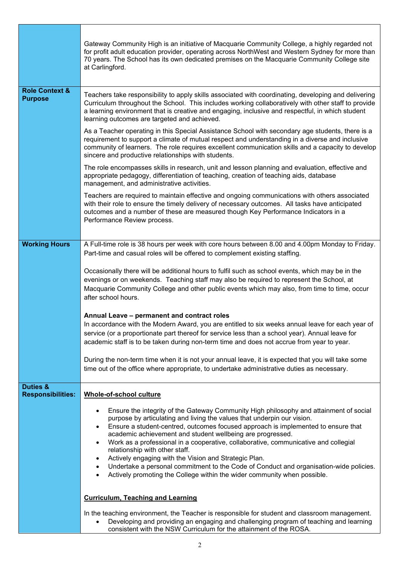|                                                 | Gateway Community High is an initiative of Macquarie Community College, a highly regarded not<br>for profit adult education provider, operating across NorthWest and Western Sydney for more than<br>70 years. The School has its own dedicated premises on the Macquarie Community College site<br>at Carlingford.                                                                                                                                                                                                                                                                                                                                                                                                                                        |  |
|-------------------------------------------------|------------------------------------------------------------------------------------------------------------------------------------------------------------------------------------------------------------------------------------------------------------------------------------------------------------------------------------------------------------------------------------------------------------------------------------------------------------------------------------------------------------------------------------------------------------------------------------------------------------------------------------------------------------------------------------------------------------------------------------------------------------|--|
| <b>Role Context &amp;</b><br><b>Purpose</b>     | Teachers take responsibility to apply skills associated with coordinating, developing and delivering<br>Curriculum throughout the School. This includes working collaboratively with other staff to provide<br>a learning environment that is creative and engaging, inclusive and respectful, in which student<br>learning outcomes are targeted and achieved.                                                                                                                                                                                                                                                                                                                                                                                            |  |
|                                                 | As a Teacher operating in this Special Assistance School with secondary age students, there is a<br>requirement to support a climate of mutual respect and understanding in a diverse and inclusive<br>community of learners. The role requires excellent communication skills and a capacity to develop<br>sincere and productive relationships with students.                                                                                                                                                                                                                                                                                                                                                                                            |  |
|                                                 | The role encompasses skills in research, unit and lesson planning and evaluation, effective and<br>appropriate pedagogy, differentiation of teaching, creation of teaching aids, database<br>management, and administrative activities.                                                                                                                                                                                                                                                                                                                                                                                                                                                                                                                    |  |
|                                                 | Teachers are required to maintain effective and ongoing communications with others associated<br>with their role to ensure the timely delivery of necessary outcomes. All tasks have anticipated<br>outcomes and a number of these are measured though Key Performance Indicators in a<br>Performance Review process.                                                                                                                                                                                                                                                                                                                                                                                                                                      |  |
| <b>Working Hours</b>                            | A Full-time role is 38 hours per week with core hours between 8.00 and 4.00pm Monday to Friday.                                                                                                                                                                                                                                                                                                                                                                                                                                                                                                                                                                                                                                                            |  |
|                                                 | Part-time and casual roles will be offered to complement existing staffing.<br>Occasionally there will be additional hours to fulfil such as school events, which may be in the<br>evenings or on weekends. Teaching staff may also be required to represent the School, at<br>Macquarie Community College and other public events which may also, from time to time, occur<br>after school hours.                                                                                                                                                                                                                                                                                                                                                         |  |
|                                                 | Annual Leave - permanent and contract roles<br>In accordance with the Modern Award, you are entitled to six weeks annual leave for each year of<br>service (or a proportionate part thereof for service less than a school year). Annual leave for<br>academic staff is to be taken during non-term time and does not accrue from year to year.                                                                                                                                                                                                                                                                                                                                                                                                            |  |
|                                                 | During the non-term time when it is not your annual leave, it is expected that you will take some<br>time out of the office where appropriate, to undertake administrative duties as necessary.                                                                                                                                                                                                                                                                                                                                                                                                                                                                                                                                                            |  |
| <b>Duties &amp;</b><br><b>Responsibilities:</b> | Whole-of-school culture                                                                                                                                                                                                                                                                                                                                                                                                                                                                                                                                                                                                                                                                                                                                    |  |
|                                                 | Ensure the integrity of the Gateway Community High philosophy and attainment of social<br>$\bullet$<br>purpose by articulating and living the values that underpin our vision.<br>Ensure a student-centred, outcomes focused approach is implemented to ensure that<br>$\bullet$<br>academic achievement and student wellbeing are progressed.<br>Work as a professional in a cooperative, collaborative, communicative and collegial<br>$\bullet$<br>relationship with other staff.<br>Actively engaging with the Vision and Strategic Plan.<br>$\bullet$<br>Undertake a personal commitment to the Code of Conduct and organisation-wide policies.<br>$\bullet$<br>Actively promoting the College within the wider community when possible.<br>$\bullet$ |  |
|                                                 | <b>Curriculum, Teaching and Learning</b>                                                                                                                                                                                                                                                                                                                                                                                                                                                                                                                                                                                                                                                                                                                   |  |
|                                                 | In the teaching environment, the Teacher is responsible for student and classroom management.<br>Developing and providing an engaging and challenging program of teaching and learning<br>$\bullet$<br>consistent with the NSW Curriculum for the attainment of the ROSA.                                                                                                                                                                                                                                                                                                                                                                                                                                                                                  |  |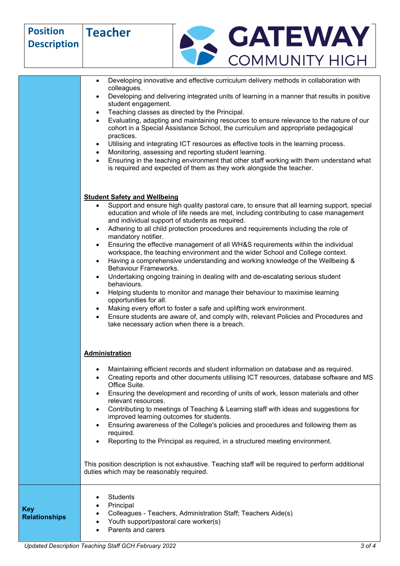| <b>Position</b><br><b>Description</b> | <b>Teacher</b>                                                                                                                                                                                                                                                                                                                                                                                                                                                                                                                                                                                                                                                                                                                                                                                                                                                                                                                                                                                                                                                                                                                                                                                                                                                                                                                                                                                                                                                                                                                                                                                                                                                                                                                                                                                                                                                                                                                                                                                                         | <b>GATEWAY</b>                                                                                                                                                                                                                                                                                                                                                                                                                                                                                                                                                                                                                         |
|---------------------------------------|------------------------------------------------------------------------------------------------------------------------------------------------------------------------------------------------------------------------------------------------------------------------------------------------------------------------------------------------------------------------------------------------------------------------------------------------------------------------------------------------------------------------------------------------------------------------------------------------------------------------------------------------------------------------------------------------------------------------------------------------------------------------------------------------------------------------------------------------------------------------------------------------------------------------------------------------------------------------------------------------------------------------------------------------------------------------------------------------------------------------------------------------------------------------------------------------------------------------------------------------------------------------------------------------------------------------------------------------------------------------------------------------------------------------------------------------------------------------------------------------------------------------------------------------------------------------------------------------------------------------------------------------------------------------------------------------------------------------------------------------------------------------------------------------------------------------------------------------------------------------------------------------------------------------------------------------------------------------------------------------------------------------|----------------------------------------------------------------------------------------------------------------------------------------------------------------------------------------------------------------------------------------------------------------------------------------------------------------------------------------------------------------------------------------------------------------------------------------------------------------------------------------------------------------------------------------------------------------------------------------------------------------------------------------|
|                                       |                                                                                                                                                                                                                                                                                                                                                                                                                                                                                                                                                                                                                                                                                                                                                                                                                                                                                                                                                                                                                                                                                                                                                                                                                                                                                                                                                                                                                                                                                                                                                                                                                                                                                                                                                                                                                                                                                                                                                                                                                        | <b>COMMUNITY HIGH</b>                                                                                                                                                                                                                                                                                                                                                                                                                                                                                                                                                                                                                  |
|                                       | Developing innovative and effective curriculum delivery methods in collaboration with<br>$\bullet$<br>colleagues.<br>Developing and delivering integrated units of learning in a manner that results in positive<br>student engagement.<br>Teaching classes as directed by the Principal.<br>$\bullet$<br>Evaluating, adapting and maintaining resources to ensure relevance to the nature of our<br>$\bullet$<br>cohort in a Special Assistance School, the curriculum and appropriate pedagogical<br>practices.<br>Utilising and integrating ICT resources as effective tools in the learning process.<br>$\bullet$<br>Monitoring, assessing and reporting student learning.<br>Ensuring in the teaching environment that other staff working with them understand what<br>$\bullet$<br>is required and expected of them as they work alongside the teacher.<br><b>Student Safety and Wellbeing</b><br>Support and ensure high quality pastoral care, to ensure that all learning support, special<br>$\bullet$<br>education and whole of life needs are met, including contributing to case management<br>and individual support of students as required.<br>Adhering to all child protection procedures and requirements including the role of<br>$\bullet$<br>mandatory notifier.<br>Ensuring the effective management of all WH&S requirements within the individual<br>٠<br>workspace, the teaching environment and the wider School and College context.<br>Having a comprehensive understanding and working knowledge of the Wellbeing &<br>$\bullet$<br>Behaviour Frameworks.<br>Undertaking ongoing training in dealing with and de-escalating serious student<br>٠<br>behaviours.<br>Helping students to monitor and manage their behaviour to maximise learning<br>opportunities for all.<br>Making every effort to foster a safe and uplifting work environment.<br>Ensure students are aware of, and comply with, relevant Policies and Procedures and<br>take necessary action when there is a breach. |                                                                                                                                                                                                                                                                                                                                                                                                                                                                                                                                                                                                                                        |
|                                       | <b>Administration</b><br>Office Suite.<br>relevant resources.<br>improved learning outcomes for students.<br>required.<br>duties which may be reasonably required.                                                                                                                                                                                                                                                                                                                                                                                                                                                                                                                                                                                                                                                                                                                                                                                                                                                                                                                                                                                                                                                                                                                                                                                                                                                                                                                                                                                                                                                                                                                                                                                                                                                                                                                                                                                                                                                     | Maintaining efficient records and student information on database and as required.<br>Creating reports and other documents utilising ICT resources, database software and MS<br>Ensuring the development and recording of units of work, lesson materials and other<br>Contributing to meetings of Teaching & Learning staff with ideas and suggestions for<br>Ensuring awareness of the College's policies and procedures and following them as<br>Reporting to the Principal as required, in a structured meeting environment.<br>This position description is not exhaustive. Teaching staff will be required to perform additional |
| <b>Key</b><br><b>Relationships</b>    | <b>Students</b><br>Principal<br>Youth support/pastoral care worker(s)<br>Parents and carers                                                                                                                                                                                                                                                                                                                                                                                                                                                                                                                                                                                                                                                                                                                                                                                                                                                                                                                                                                                                                                                                                                                                                                                                                                                                                                                                                                                                                                                                                                                                                                                                                                                                                                                                                                                                                                                                                                                            | Colleagues - Teachers, Administration Staff; Teachers Aide(s)                                                                                                                                                                                                                                                                                                                                                                                                                                                                                                                                                                          |